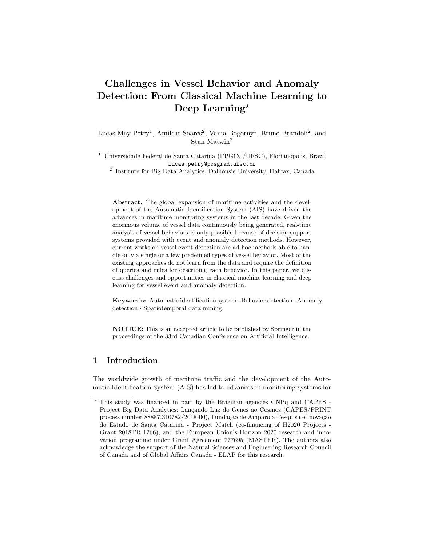# Challenges in Vessel Behavior and Anomaly Detection: From Classical Machine Learning to Deep Learning<sup>\*</sup>

Lucas May Petry<sup>1</sup>, Amilcar Soares<sup>2</sup>, Vania Bogorny<sup>1</sup>, Bruno Brandoli<sup>2</sup>, and Stan Matwin<sup>2</sup>

 $1$  Universidade Federal de Santa Catarina (PPGCC/UFSC), Florianópolis, Brazil lucas.petry@posgrad.ufsc.br

2 Institute for Big Data Analytics, Dalhousie University, Halifax, Canada

Abstract. The global expansion of maritime activities and the development of the Automatic Identification System (AIS) have driven the advances in maritime monitoring systems in the last decade. Given the enormous volume of vessel data continuously being generated, real-time analysis of vessel behaviors is only possible because of decision support systems provided with event and anomaly detection methods. However, current works on vessel event detection are ad-hoc methods able to handle only a single or a few predefined types of vessel behavior. Most of the existing approaches do not learn from the data and require the definition of queries and rules for describing each behavior. In this paper, we discuss challenges and opportunities in classical machine learning and deep learning for vessel event and anomaly detection.

Keywords: Automatic identification system · Behavior detection · Anomaly detection · Spatiotemporal data mining.

NOTICE: This is an accepted article to be published by Springer in the proceedings of the 33rd Canadian Conference on Artificial Intelligence.

## 1 Introduction

The worldwide growth of maritime traffic and the development of the Automatic Identification System (AIS) has led to advances in monitoring systems for

<sup>?</sup> This study was financed in part by the Brazilian agencies CNPq and CAPES - Project Big Data Analytics: Lançando Luz do Genes ao Cosmos (CAPES/PRINT) process number 88887.310782/2018-00), Fundação de Amparo a Pesquisa e Inovação do Estado de Santa Catarina - Project Match (co-financing of H2020 Projects - Grant 2018TR 1266), and the European Union's Horizon 2020 research and innovation programme under Grant Agreement 777695 (MASTER). The authors also acknowledge the support of the Natural Sciences and Engineering Research Council of Canada and of Global Affairs Canada - ELAP for this research.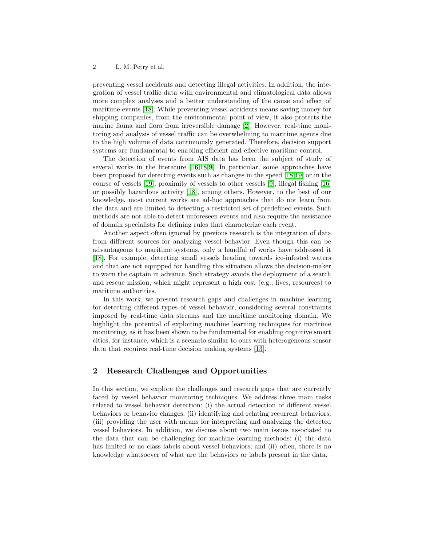preventing vessel accidents and detecting illegal activities. In addition, the integration of vessel traffic data with environmental and climatological data allows more complex analyses and a better understanding of the cause and effect of maritime events [\[18\]](#page-5-0). While preventing vessel accidents means saving money for shipping companies, from the environmental point of view, it also protects the marine fauna and flora from irreversible damage [\[2\]](#page-4-0). However, real-time monitoring and analysis of vessel traffic can be overwhelming to maritime agents due to the high volume of data continuously generated. Therefore, decision support systems are fundamental to enabling efficient and effective maritime control.

The detection of events from AIS data has been the subject of study of several works in the literature [\[16,](#page-5-1)[18](#page-5-0)[,9\]](#page-5-2). In particular, some approaches have been proposed for detecting events such as changes in the speed [\[18,](#page-5-0)[19\]](#page-5-3) or in the course of vessels [\[19\]](#page-5-3), proximity of vessels to other vessels [\[9\]](#page-5-2), illegal fishing [\[16\]](#page-5-1) or possibly hazardous activity [\[18\]](#page-5-0), among others. However, to the best of our knowledge, most current works are ad-hoc approaches that do not learn from the data and are limited to detecting a restricted set of predefined events. Such methods are not able to detect unforeseen events and also require the assistance of domain specialists for defining rules that characterize each event.

Another aspect often ignored by previous research is the integration of data from different sources for analyzing vessel behavior. Even though this can be advantageous to maritime systems, only a handful of works have addressed it [\[18\]](#page-5-0). For example, detecting small vessels heading towards ice-infested waters and that are not equipped for handling this situation allows the decision-maker to warn the captain in advance. Such strategy avoids the deployment of a search and rescue mission, which might represent a high cost (e.g., lives, resources) to maritime authorities.

In this work, we present research gaps and challenges in machine learning for detecting different types of vessel behavior, considering several constraints imposed by real-time data streams and the maritime monitoring domain. We highlight the potential of exploiting machine learning techniques for maritime monitoring, as it has been shown to be fundamental for enabling cognitive smart cities, for instance, which is a scenario similar to ours with heterogeneous sensor data that requires real-time decision making systems [\[13\]](#page-5-4).

## 2 Research Challenges and Opportunities

In this section, we explore the challenges and research gaps that are currently faced by vessel behavior monitoring techniques. We address three main tasks related to vessel behavior detection: (i) the actual detection of different vessel behaviors or behavior changes; (ii) identifying and relating recurrent behaviors; (iii) providing the user with means for interpreting and analyzing the detected vessel behaviors. In addition, we discuss about two main issues associated to the data that can be challenging for machine learning methods: (i) the data has limited or no class labels about vessel behaviors; and (ii) often, there is no knowledge whatsoever of what are the behaviors or labels present in the data.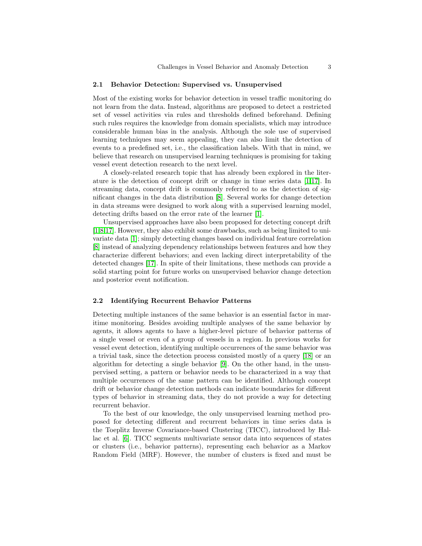#### 2.1 Behavior Detection: Supervised vs. Unsupervised

Most of the existing works for behavior detection in vessel traffic monitoring do not learn from the data. Instead, algorithms are proposed to detect a restricted set of vessel activities via rules and thresholds defined beforehand. Defining such rules requires the knowledge from domain specialists, which may introduce considerable human bias in the analysis. Although the sole use of supervised learning techniques may seem appealing, they can also limit the detection of events to a predefined set, i.e., the classification labels. With that in mind, we believe that research on unsupervised learning techniques is promising for taking vessel event detection research to the next level.

A closely-related research topic that has already been explored in the literature is the detection of concept drift or change in time series data [\[1,](#page-4-1)[17\]](#page-5-5). In streaming data, concept drift is commonly referred to as the detection of significant changes in the data distribution [\[8\]](#page-5-6). Several works for change detection in data streams were designed to work along with a supervised learning model, detecting drifts based on the error rate of the learner [\[1\]](#page-4-1).

Unsupervised approaches have also been proposed for detecting concept drift [\[1,](#page-4-1)[8](#page-5-6)[,17\]](#page-5-5). However, they also exhibit some drawbacks, such as being limited to univariate data [\[1\]](#page-4-1); simply detecting changes based on individual feature correlation [\[8\]](#page-5-6) instead of analyzing dependency relationships between features and how they characterize different behaviors; and even lacking direct interpretability of the detected changes [\[17\]](#page-5-5). In spite of their limitations, these methods can provide a solid starting point for future works on unsupervised behavior change detection and posterior event notification.

#### 2.2 Identifying Recurrent Behavior Patterns

Detecting multiple instances of the same behavior is an essential factor in maritime monitoring. Besides avoiding multiple analyses of the same behavior by agents, it allows agents to have a higher-level picture of behavior patterns of a single vessel or even of a group of vessels in a region. In previous works for vessel event detection, identifying multiple occurrences of the same behavior was a trivial task, since the detection process consisted mostly of a query [\[18\]](#page-5-0) or an algorithm for detecting a single behavior [\[9\]](#page-5-2). On the other hand, in the unsupervised setting, a pattern or behavior needs to be characterized in a way that multiple occurrences of the same pattern can be identified. Although concept drift or behavior change detection methods can indicate boundaries for different types of behavior in streaming data, they do not provide a way for detecting recurrent behavior.

To the best of our knowledge, the only unsupervised learning method proposed for detecting different and recurrent behaviors in time series data is the Toeplitz Inverse Covariance-based Clustering (TICC), introduced by Hallac et al. [\[6\]](#page-5-7). TICC segments multivariate sensor data into sequences of states or clusters (i.e., behavior patterns), representing each behavior as a Markov Random Field (MRF). However, the number of clusters is fixed and must be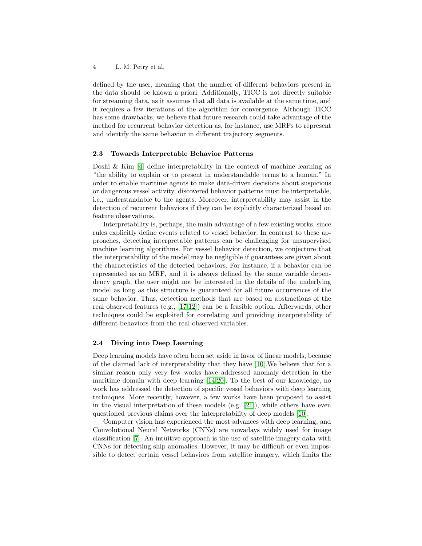4 L. M. Petry et al.

defined by the user, meaning that the number of different behaviors present in the data should be known a priori. Additionally, TICC is not directly suitable for streaming data, as it assumes that all data is available at the same time, and it requires a few iterations of the algorithm for convergence. Although TICC has some drawbacks, we believe that future research could take advantage of the method for recurrent behavior detection as, for instance, use MRFs to represent and identify the same behavior in different trajectory segments.

#### 2.3 Towards Interpretable Behavior Patterns

Doshi & Kim [\[4\]](#page-5-8) define interpretability in the context of machine learning as "the ability to explain or to present in understandable terms to a human." In order to enable maritime agents to make data-driven decisions about suspicious or dangerous vessel activity, discovered behavior patterns must be interpretable, i.e., understandable to the agents. Moreover, interpretability may assist in the detection of recurrent behaviors if they can be explicitly characterized based on feature observations.

Interpretability is, perhaps, the main advantage of a few existing works, since rules explicitly define events related to vessel behavior. In contrast to these approaches, detecting interpretable patterns can be challenging for unsupervised machine learning algorithms. For vessel behavior detection, we conjecture that the interpretability of the model may be negligible if guarantees are given about the characteristics of the detected behaviors. For instance, if a behavior can be represented as an MRF, and it is always defined by the same variable dependency graph, the user might not be interested in the details of the underlying model as long as this structure is guaranteed for all future occurrences of the same behavior. Thus, detection methods that are based on abstractions of the real observed features (e.g., [\[17,](#page-5-5)[12\]](#page-5-9)) can be a feasible option. Afterwards, other techniques could be exploited for correlating and providing interpretability of different behaviors from the real observed variables.

#### 2.4 Diving into Deep Learning

Deep learning models have often been set aside in favor of linear models, because of the claimed lack of interpretability that they have [\[10\]](#page-5-10).We believe that for a similar reason only very few works have addressed anomaly detection in the maritime domain with deep learning [\[14,](#page-5-11)[20\]](#page-5-12). To the best of our knowledge, no work has addressed the detection of specific vessel behaviors with deep learning techniques. More recently, however, a few works have been proposed to assist in the visual interpretation of these models (e.g. [\[21\]](#page-6-0)), while others have even questioned previous claims over the interpretability of deep models [\[10\]](#page-5-10).

Computer vision has experienced the most advances with deep learning, and Convolutional Neural Networks (CNNs) are nowadays widely used for image classification [\[7\]](#page-5-13). An intuitive approach is the use of satellite imagery data with CNNs for detecting ship anomalies. However, it may be difficult or even impossible to detect certain vessel behaviors from satellite imagery, which limits the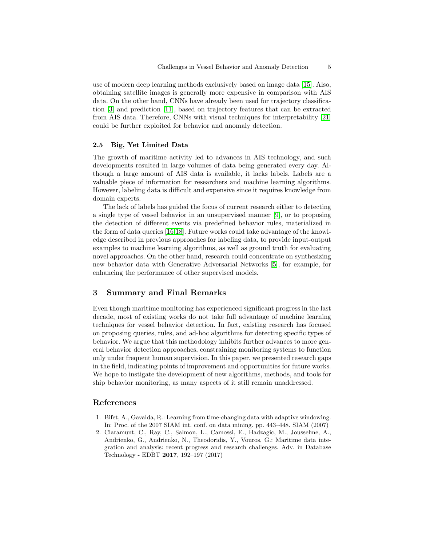use of modern deep learning methods exclusively based on image data [\[15\]](#page-5-14). Also, obtaining satellite images is generally more expensive in comparison with AIS data. On the other hand, CNNs have already been used for trajectory classification [\[3\]](#page-5-15) and prediction [\[11\]](#page-5-16), based on trajectory features that can be extracted from AIS data. Therefore, CNNs with visual techniques for interpretability [\[21\]](#page-6-0) could be further exploited for behavior and anomaly detection.

#### 2.5 Big, Yet Limited Data

The growth of maritime activity led to advances in AIS technology, and such developments resulted in large volumes of data being generated every day. Although a large amount of AIS data is available, it lacks labels. Labels are a valuable piece of information for researchers and machine learning algorithms. However, labeling data is difficult and expensive since it requires knowledge from domain experts.

The lack of labels has guided the focus of current research either to detecting a single type of vessel behavior in an unsupervised manner [\[9\]](#page-5-2), or to proposing the detection of different events via predefined behavior rules, materialized in the form of data queries [\[16,](#page-5-1)[18\]](#page-5-0). Future works could take advantage of the knowledge described in previous approaches for labeling data, to provide input-output examples to machine learning algorithms, as well as ground truth for evaluating novel approaches. On the other hand, research could concentrate on synthesizing new behavior data with Generative Adversarial Networks [\[5\]](#page-5-17), for example, for enhancing the performance of other supervised models.

## 3 Summary and Final Remarks

Even though maritime monitoring has experienced significant progress in the last decade, most of existing works do not take full advantage of machine learning techniques for vessel behavior detection. In fact, existing research has focused on proposing queries, rules, and ad-hoc algorithms for detecting specific types of behavior. We argue that this methodology inhibits further advances to more general behavior detection approaches, constraining monitoring systems to function only under frequent human supervision. In this paper, we presented research gaps in the field, indicating points of improvement and opportunities for future works. We hope to instigate the development of new algorithms, methods, and tools for ship behavior monitoring, as many aspects of it still remain unaddressed.

### References

- <span id="page-4-1"></span>1. Bifet, A., Gavalda, R.: Learning from time-changing data with adaptive windowing. In: Proc. of the 2007 SIAM int. conf. on data mining. pp. 443–448. SIAM (2007)
- <span id="page-4-0"></span>2. Claramunt, C., Ray, C., Salmon, L., Camossi, E., Hadzagic, M., Jousselme, A., Andrienko, G., Andrienko, N., Theodoridis, Y., Vouros, G.: Maritime data integration and analysis: recent progress and research challenges. Adv. in Database Technology - EDBT 2017, 192–197 (2017)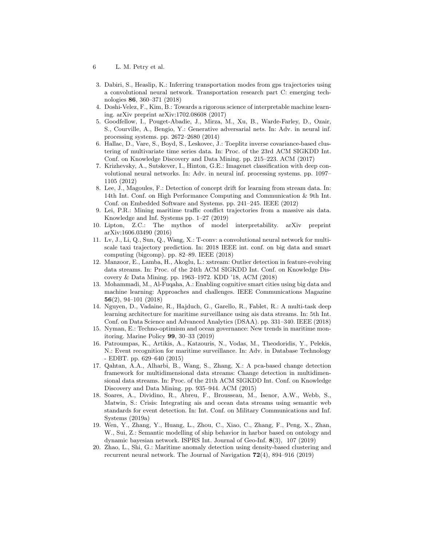- 6 L. M. Petry et al.
- <span id="page-5-15"></span>3. Dabiri, S., Heaslip, K.: Inferring transportation modes from gps trajectories using a convolutional neural network. Transportation research part C: emerging technologies 86, 360–371 (2018)
- <span id="page-5-8"></span>4. Doshi-Velez, F., Kim, B.: Towards a rigorous science of interpretable machine learning. arXiv preprint arXiv:1702.08608 (2017)
- <span id="page-5-17"></span>5. Goodfellow, I., Pouget-Abadie, J., Mirza, M., Xu, B., Warde-Farley, D., Ozair, S., Courville, A., Bengio, Y.: Generative adversarial nets. In: Adv. in neural inf. processing systems. pp. 2672–2680 (2014)
- <span id="page-5-7"></span>6. Hallac, D., Vare, S., Boyd, S., Leskovec, J.: Toeplitz inverse covariance-based clustering of multivariate time series data. In: Proc. of the 23rd ACM SIGKDD Int. Conf. on Knowledge Discovery and Data Mining. pp. 215–223. ACM (2017)
- <span id="page-5-13"></span>7. Krizhevsky, A., Sutskever, I., Hinton, G.E.: Imagenet classification with deep convolutional neural networks. In: Adv. in neural inf. processing systems. pp. 1097– 1105 (2012)
- <span id="page-5-6"></span>8. Lee, J., Magoules, F.: Detection of concept drift for learning from stream data. In: 14th Int. Conf. on High Performance Computing and Communication & 9th Int. Conf. on Embedded Software and Systems. pp. 241–245. IEEE (2012)
- <span id="page-5-2"></span>9. Lei, P.R.: Mining maritime traffic conflict trajectories from a massive ais data. Knowledge and Inf. Systems pp. 1–27 (2019)
- <span id="page-5-10"></span>10. Lipton, Z.C.: The mythos of model interpretability. arXiv preprint arXiv:1606.03490 (2016)
- <span id="page-5-16"></span>11. Lv, J., Li, Q., Sun, Q., Wang, X.: T-conv: a convolutional neural network for multiscale taxi trajectory prediction. In: 2018 IEEE int. conf. on big data and smart computing (bigcomp). pp. 82–89. IEEE (2018)
- <span id="page-5-9"></span>12. Manzoor, E., Lamba, H., Akoglu, L.: xstream: Outlier detection in feature-evolving data streams. In: Proc. of the 24th ACM SIGKDD Int. Conf. on Knowledge Discovery & Data Mining. pp. 1963–1972. KDD '18, ACM (2018)
- <span id="page-5-4"></span>13. Mohammadi, M., Al-Fuqaha, A.: Enabling cognitive smart cities using big data and machine learning: Approaches and challenges. IEEE Communications Magazine 56(2), 94–101 (2018)
- <span id="page-5-11"></span>14. Nguyen, D., Vadaine, R., Hajduch, G., Garello, R., Fablet, R.: A multi-task deep learning architecture for maritime surveillance using ais data streams. In: 5th Int. Conf. on Data Science and Advanced Analytics (DSAA). pp. 331–340. IEEE (2018)
- <span id="page-5-14"></span>15. Nyman, E.: Techno-optimism and ocean governance: New trends in maritime monitoring. Marine Policy 99, 30–33 (2019)
- <span id="page-5-1"></span>16. Patroumpas, K., Artikis, A., Katzouris, N., Vodas, M., Theodoridis, Y., Pelekis, N.: Event recognition for maritime surveillance. In: Adv. in Database Technology - EDBT. pp. 629–640 (2015)
- <span id="page-5-5"></span>17. Qahtan, A.A., Alharbi, B., Wang, S., Zhang, X.: A pca-based change detection framework for multidimensional data streams: Change detection in multidimensional data streams. In: Proc. of the 21th ACM SIGKDD Int. Conf. on Knowledge Discovery and Data Mining. pp. 935–944. ACM (2015)
- <span id="page-5-0"></span>18. Soares, A., Dividino, R., Abreu, F., Brousseau, M., Isenor, A.W., Webb, S., Matwin, S.: Crisis: Integrating ais and ocean data streams using semantic web standards for event detection. In: Int. Conf. on Military Communications and Inf. Systems (2019a)
- <span id="page-5-3"></span>19. Wen, Y., Zhang, Y., Huang, L., Zhou, C., Xiao, C., Zhang, F., Peng, X., Zhan, W., Sui, Z.: Semantic modelling of ship behavior in harbor based on ontology and dynamic bayesian network. ISPRS Int. Journal of Geo-Inf. 8(3), 107 (2019)
- <span id="page-5-12"></span>20. Zhao, L., Shi, G.: Maritime anomaly detection using density-based clustering and recurrent neural network. The Journal of Navigation 72(4), 894–916 (2019)